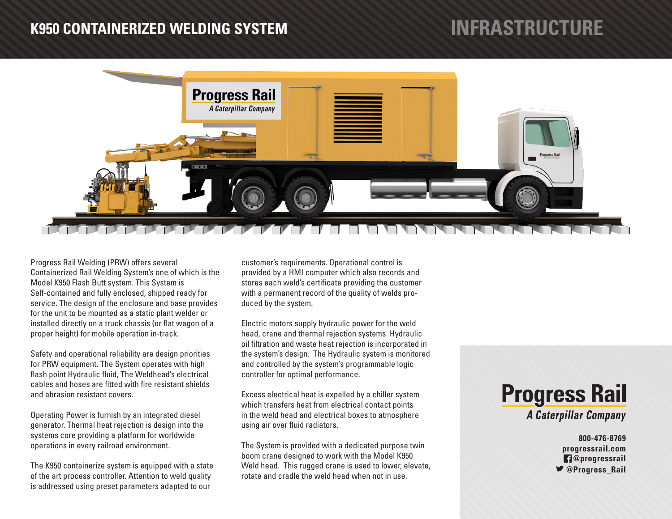### **K950 CONTAINERIZED WELDING SYSTEM**

# **INFRASTRUCTURE**



Progress Rail Welding (PRW) offers several Containerized Rail Welding System's one of which is the Model K950 Flash Butt system. This System is Self-contained and fully enclosed, shipped ready for service. The design of the enclosure and base provides for the unit to be mounted as a static plant welder or installed directly on a truck chassis (or flat wagon of a proper height) for mobile operation in-track.

Safety and operational reliability are design priorities for PRW equipment. The System operates with high flash point Hydraulic fluid, The Weldhead's electrical cables and hoses are fitted with fire resistant shields and abrasion resistant covers.

Operating Power is furnish by an integrated diesel generator. Thermal heat rejection is design into the systems core providing a platform for worldwide operations in every railroad environment.

The K950 containerize system is equipped with a state of the art process controller. Attention to weld quality is addressed using preset parameters adapted to our

customer's requirements. Operational control is provided by a HMI computer which also records and stores each weld's certificate providing the customer with a permanent record of the quality of welds produced by the system.

Electric motors supply hydraulic power for the weld head, crane and thermal rejection systems. Hydraulic oil filtration and waste heat rejection is incorporated in the system's design. The Hydraulic system is monitored and controlled by the system's programmable logic controller for optimal performance.

Excess electrical heat is expelled by a chiller system which transfers heat from electrical contact points in the weld head and electrical boxes to atmosphere using air over fluid radiators.

The System is provided with a dedicated purpose twin boom crane designed to work with the Model K950 Weld head. This rugged crane is used to lower, elevate, rotate and cradle the weld head when not in use.



**800-476-8769 progressrail.com @progressrail**  $\blacktriangleright$  @Progress Rail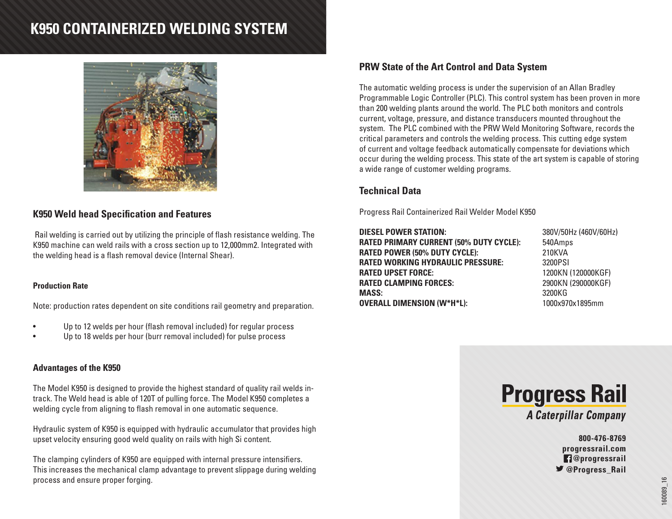## **K950 CONTAINERIZED WELDING SYSTEM**



#### **K950 Weld head Specification and Features**

 Rail welding is carried out by utilizing the principle of flash resistance welding. The K950 machine can weld rails with a cross section up to 12,000mm2. Integrated with the welding head is a flash removal device (Internal Shear).

#### **Production Rate**

Note: production rates dependent on site conditions rail geometry and preparation.

- Up to 12 welds per hour (flash removal included) for regular process
- Up to 18 welds per hour (burr removal included) for pulse process

#### **Advantages of the K950**

The Model K950 is designed to provide the highest standard of quality rail welds intrack. The Weld head is able of 120T of pulling force. The Model K950 completes a welding cycle from aligning to flash removal in one automatic sequence.

Hydraulic system of K950 is equipped with hydraulic accumulator that provides high upset velocity ensuring good weld quality on rails with high Si content.

The clamping cylinders of K950 are equipped with internal pressure intensifiers. This increases the mechanical clamp advantage to prevent slippage during welding process and ensure proper forging.

#### **PRW State of the Art Control and Data System**

The automatic welding process is under the supervision of an Allan Bradley Programmable Logic Controller (PLC). This control system has been proven in more than 200 welding plants around the world. The PLC both monitors and controls current, voltage, pressure, and distance transducers mounted throughout the system. The PLC combined with the PRW Weld Monitoring Software, records the critical parameters and controls the welding process. This cutting edge system of current and voltage feedback automatically compensate for deviations which occur during the welding process. This state of the art system is capable of storing a wide range of customer welding programs.

### **Technical Data**

Progress Rail Containerized Rail Welder Model K950

**DIESEL POWER STATION:** 380V/50Hz (460V/60Hz) **RATED PRIMARY CURRENT (50% DUTY CYCLE):** 540Amps **RATED POWER (50% DUTY CYCLE):** 210KVA **RATED WORKING HYDRAULIC PRESSURE:** 3200PSI **RATED UPSET FORCE:** 1200KN (120000KGF) **RATED CLAMPING FORCES:** 2900KN (290000KGF) **MASS:** 3200KG **OVERALL DIMENSION (W\*H\*L):** 1000x970x1895mm



**A Caterpillar Company** 

**800-476-8769 progressrail.com @progressrail**  $\blacktriangleright$  **@Progress Rail**